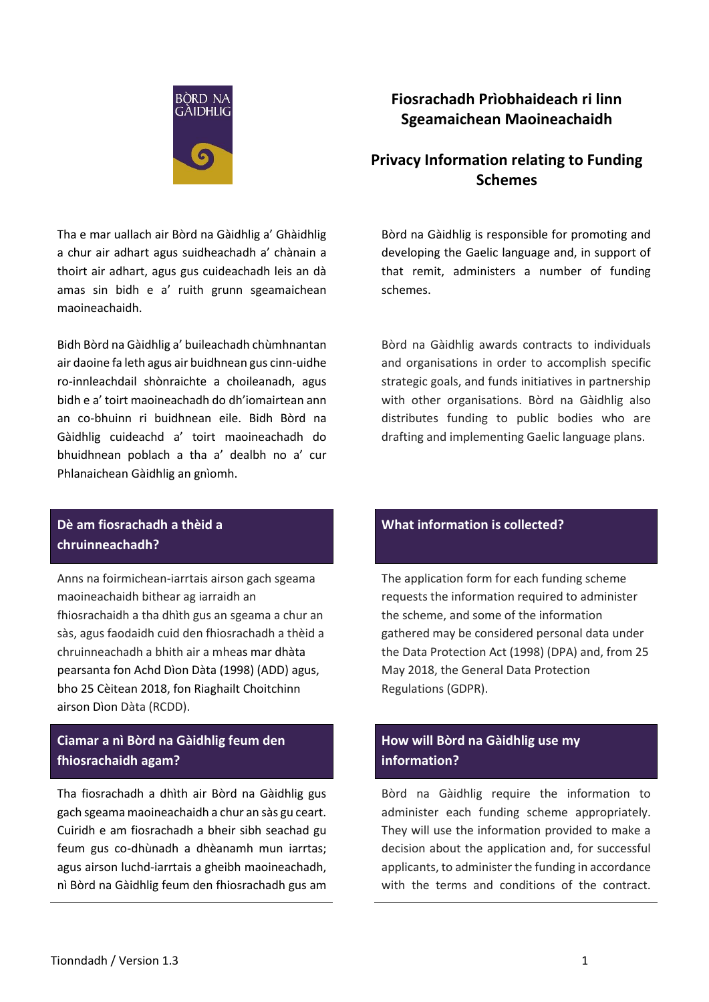

# **Fiosrachadh Prìobhaideach ri linn Sgeamaichean Maoineachaidh**

# **Privacy Information relating to Funding Schemes**

Tha e mar uallach air Bòrd na Gàidhlig a' Ghàidhlig a chur air adhart agus suidheachadh a' chànain a thoirt air adhart, agus gus cuideachadh leis an dà amas sin bidh e a' ruith grunn sgeamaichean maoineachaidh.

Bidh Bòrd na Gàidhlig a' buileachadh chùmhnantan air daoine fa leth agus air buidhnean gus cinn-uidhe ro-innleachdail shònraichte a choileanadh, agus bidh e a' toirt maoineachadh do dh'iomairtean ann an co-bhuinn ri buidhnean eile. Bidh Bòrd na Gàidhlig cuideachd a' toirt maoineachadh do bhuidhnean poblach a tha a' dealbh no a' cur Phlanaichean Gàidhlig an gnìomh.

## **Dè am fiosrachadh a thèid a chruinneachadh?**

Anns na foirmichean-iarrtais airson gach sgeama maoineachaidh bithear ag iarraidh an fhiosrachaidh a tha dhìth gus an sgeama a chur an sàs, agus faodaidh cuid den fhiosrachadh a thèid a chruinneachadh a bhith air a mheas mar dhàta pearsanta fon Achd Dìon Dàta (1998) (ADD) agus, bho 25 Cèitean 2018, fon Riaghailt Choitchinn airson Dìon Dàta (RCDD).

# **Ciamar a nì Bòrd na Gàidhlig feum den fhiosrachaidh agam?**

Tha fiosrachadh a dhìth air Bòrd na Gàidhlig gus gach sgeama maoineachaidh a chur an sàs gu ceart. Cuiridh e am fiosrachadh a bheir sibh seachad gu feum gus co-dhùnadh a dhèanamh mun iarrtas; agus airson luchd-iarrtais a gheibh maoineachadh, nì Bòrd na Gàidhlig feum den fhiosrachadh gus am

Bòrd na Gàidhlig is responsible for promoting and developing the Gaelic language and, in support of that remit, administers a number of funding schemes.

Bòrd na Gàidhlig awards contracts to individuals and organisations in order to accomplish specific strategic goals, and funds initiatives in partnership with other organisations. Bòrd na Gàidhlig also distributes funding to public bodies who are drafting and implementing Gaelic language plans.

## **What information is collected?**

The application form for each funding scheme requests the information required to administer the scheme, and some of the information gathered may be considered personal data under the Data Protection Act (1998) (DPA) and, from 25 May 2018, the General Data Protection Regulations (GDPR).

# **How will Bòrd na Gàidhlig use my information?**

Bòrd na Gàidhlig require the information to administer each funding scheme appropriately. They will use the information provided to make a decision about the application and, for successful applicants, to administer the funding in accordance with the terms and conditions of the contract.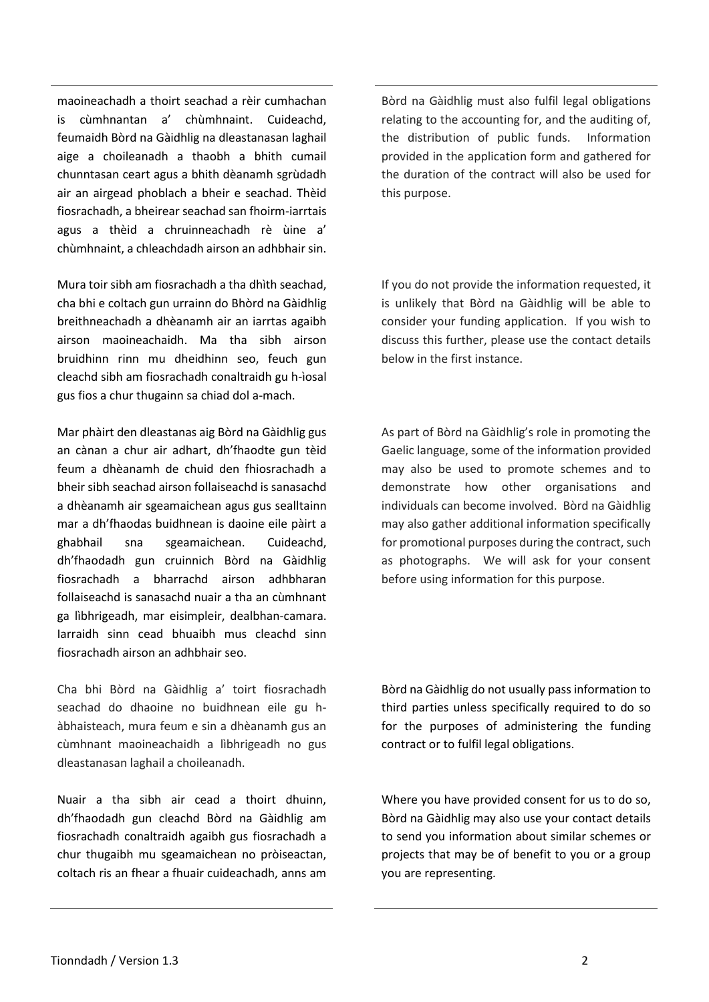maoineachadh a thoirt seachad a rèir cumhachan is cùmhnantan a' chùmhnaint. Cuideachd, feumaidh Bòrd na Gàidhlig na dleastanasan laghail aige a choileanadh a thaobh a bhith cumail chunntasan ceart agus a bhith dèanamh sgrùdadh air an airgead phoblach a bheir e seachad. Thèid fiosrachadh, a bheirear seachad san fhoirm-iarrtais agus a thèid a chruinneachadh rè ùine a' chùmhnaint, a chleachdadh airson an adhbhair sin.

Mura toir sibh am fiosrachadh a tha dhìth seachad, cha bhi e coltach gun urrainn do Bhòrd na Gàidhlig breithneachadh a dhèanamh air an iarrtas agaibh airson maoineachaidh. Ma tha sibh airson bruidhinn rinn mu dheidhinn seo, feuch gun cleachd sibh am fiosrachadh conaltraidh gu h-ìosal gus fios a chur thugainn sa chiad dol a-mach.

Mar phàirt den dleastanas aig Bòrd na Gàidhlig gus an cànan a chur air adhart, dh'fhaodte gun tèid feum a dhèanamh de chuid den fhiosrachadh a bheir sibh seachad airson follaiseachd is sanasachd a dhèanamh air sgeamaichean agus gus sealltainn mar a dh'fhaodas buidhnean is daoine eile pàirt a ghabhail sna sgeamaichean. Cuideachd, dh'fhaodadh gun cruinnich Bòrd na Gàidhlig fiosrachadh a bharrachd airson adhbharan follaiseachd is sanasachd nuair a tha an cùmhnant ga lìbhrigeadh, mar eisimpleir, dealbhan-camara. Iarraidh sinn cead bhuaibh mus cleachd sinn fiosrachadh airson an adhbhair seo.

Cha bhi Bòrd na Gàidhlig a' toirt fiosrachadh seachad do dhaoine no buidhnean eile gu hàbhaisteach, mura feum e sin a dhèanamh gus an cùmhnant maoineachaidh a lìbhrigeadh no gus dleastanasan laghail a choileanadh.

Nuair a tha sibh air cead a thoirt dhuinn, dh'fhaodadh gun cleachd Bòrd na Gàidhlig am fiosrachadh conaltraidh agaibh gus fiosrachadh a chur thugaibh mu sgeamaichean no pròiseactan, coltach ris an fhear a fhuair cuideachadh, anns am Bòrd na Gàidhlig must also fulfil legal obligations relating to the accounting for, and the auditing of, the distribution of public funds. Information provided in the application form and gathered for the duration of the contract will also be used for this purpose.

If you do not provide the information requested, it is unlikely that Bòrd na Gàidhlig will be able to consider your funding application. If you wish to discuss this further, please use the contact details below in the first instance.

As part of Bòrd na Gàidhlig's role in promoting the Gaelic language, some of the information provided may also be used to promote schemes and to demonstrate how other organisations and individuals can become involved. Bòrd na Gàidhlig may also gather additional information specifically for promotional purposes during the contract, such as photographs. We will ask for your consent before using information for this purpose.

Bòrd na Gàidhlig do not usually pass information to third parties unless specifically required to do so for the purposes of administering the funding contract or to fulfil legal obligations.

Where you have provided consent for us to do so, Bòrd na Gàidhlig may also use your contact details to send you information about similar schemes or projects that may be of benefit to you or a group you are representing.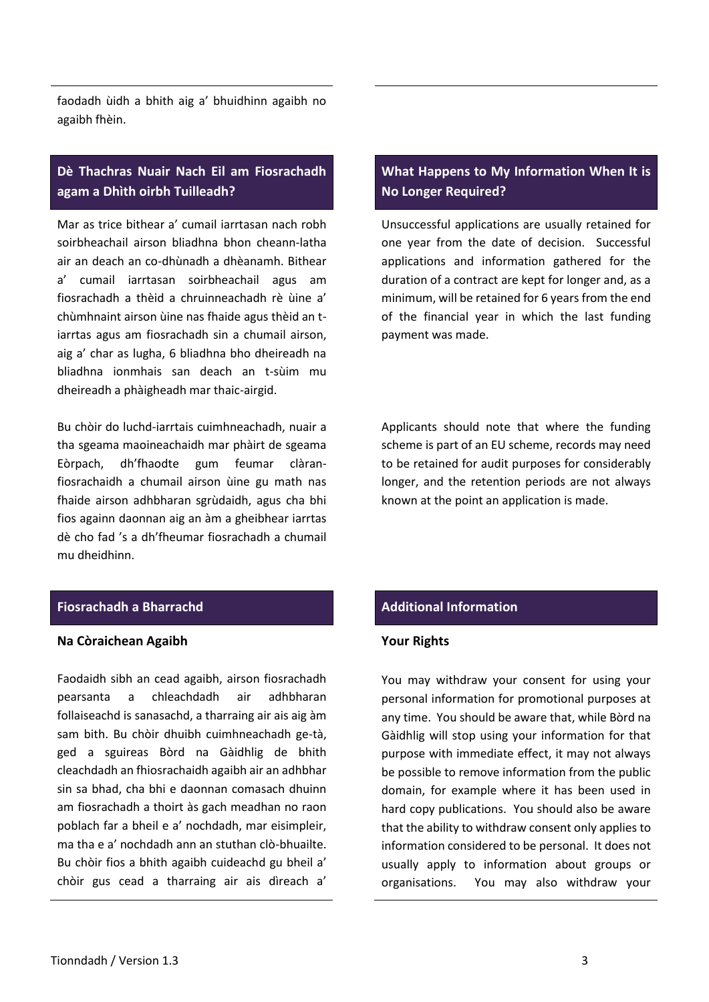faodadh ùidh a bhith aig a' bhuidhinn agaibh no agaibh fhèin.

## **Dè Thachras Nuair Nach Eil am Fiosrachadh agam a Dhìth oirbh Tuilleadh?**

Mar as trice bithear a' cumail iarrtasan nach robh soirbheachail airson bliadhna bhon cheann-latha air an deach an co-dhùnadh a dhèanamh. Bithear a' cumail iarrtasan soirbheachail agus am fiosrachadh a thèid a chruinneachadh rè ùine a' chùmhnaint airson ùine nas fhaide agus thèid an tiarrtas agus am fiosrachadh sin a chumail airson, aig a' char as lugha, 6 bliadhna bho dheireadh na bliadhna ionmhais san deach an t-sùim mu dheireadh a phàigheadh mar thaic-airgid.

Bu chòir do luchd-iarrtais cuimhneachadh, nuair a tha sgeama maoineachaidh mar phàirt de sgeama Eòrpach, dh'fhaodte gum feumar clàranfiosrachaidh a chumail airson ùine gu math nas fhaide airson adhbharan sgrùdaidh, agus cha bhi fios againn daonnan aig an àm a gheibhear iarrtas dè cho fad 's a dh'fheumar fiosrachadh a chumail mu dheidhinn.

## **Fiosrachadh a Bharrachd Additional Information**

#### **Na Còraichean Agaibh**

Faodaidh sibh an cead agaibh, airson fiosrachadh pearsanta a chleachdadh air adhbharan follaiseachd is sanasachd, a tharraing air ais aig àm sam bith. Bu chòir dhuibh cuimhneachadh ge-tà, ged a sguireas Bòrd na Gàidhlig de bhith cleachdadh an fhiosrachaidh agaibh air an adhbhar sin sa bhad, cha bhi e daonnan comasach dhuinn am fiosrachadh a thoirt às gach meadhan no raon poblach far a bheil e a' nochdadh, mar eisimpleir, ma tha e a' nochdadh ann an stuthan clò-bhuailte. Bu chòir fios a bhith agaibh cuideachd gu bheil a' chòir gus cead a tharraing air ais dìreach a'

## **What Happens to My Information When It is No Longer Required?**

Unsuccessful applications are usually retained for one year from the date of decision. Successful applications and information gathered for the duration of a contract are kept for longer and, as a minimum, will be retained for 6 years from the end of the financial year in which the last funding payment was made.

Applicants should note that where the funding scheme is part of an EU scheme, records may need to be retained for audit purposes for considerably longer, and the retention periods are not always known at the point an application is made.

### **Your Rights**

You may withdraw your consent for using your personal information for promotional purposes at any time. You should be aware that, while Bòrd na Gàidhlig will stop using your information for that purpose with immediate effect, it may not always be possible to remove information from the public domain, for example where it has been used in hard copy publications. You should also be aware that the ability to withdraw consent only applies to information considered to be personal. It does not usually apply to information about groups or organisations. You may also withdraw your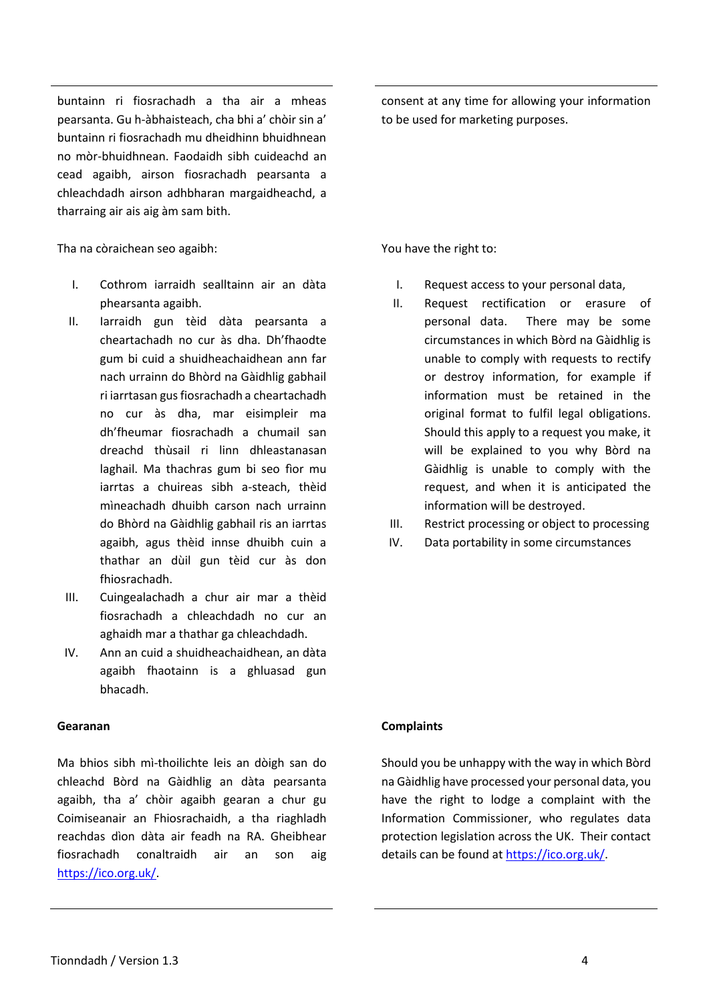buntainn ri fiosrachadh a tha air a mheas pearsanta. Gu h-àbhaisteach, cha bhi a' chòir sin a' buntainn ri fiosrachadh mu dheidhinn bhuidhnean no mòr-bhuidhnean. Faodaidh sibh cuideachd an cead agaibh, airson fiosrachadh pearsanta a chleachdadh airson adhbharan margaidheachd, a tharraing air ais aig àm sam bith.

Tha na còraichean seo agaibh:

- I. Cothrom iarraidh sealltainn air an dàta phearsanta agaibh.
- II. Iarraidh gun tèid dàta pearsanta a cheartachadh no cur às dha. Dh'fhaodte gum bi cuid a shuidheachaidhean ann far nach urrainn do Bhòrd na Gàidhlig gabhail ri iarrtasan gus fiosrachadh a cheartachadh no cur às dha, mar eisimpleir ma dh'fheumar fiosrachadh a chumail san dreachd thùsail ri linn dhleastanasan laghail. Ma thachras gum bi seo fìor mu iarrtas a chuireas sibh a-steach, thèid mìneachadh dhuibh carson nach urrainn do Bhòrd na Gàidhlig gabhail ris an iarrtas agaibh, agus thèid innse dhuibh cuin a thathar an dùil gun tèid cur às don fhiosrachadh.
- III. Cuingealachadh a chur air mar a thèid fiosrachadh a chleachdadh no cur an aghaidh mar a thathar ga chleachdadh.
- IV. Ann an cuid a shuidheachaidhean, an dàta agaibh fhaotainn is a ghluasad gun bhacadh.

## **Gearanan**

Ma bhios sibh mì-thoilichte leis an dòigh san do chleachd Bòrd na Gàidhlig an dàta pearsanta agaibh, tha a' chòir agaibh gearan a chur gu Coimiseanair an Fhiosrachaidh, a tha riaghladh reachdas dìon dàta air feadh na RA. Gheibhear fiosrachadh conaltraidh air an son aig [https://ico.org.uk/.](https://ico.org.uk/)

consent at any time for allowing your information to be used for marketing purposes.

You have the right to:

- I. Request access to your personal data,
- II. Request rectification or erasure of personal data. There may be some circumstances in which Bòrd na Gàidhlig is unable to comply with requests to rectify or destroy information, for example if information must be retained in the original format to fulfil legal obligations. Should this apply to a request you make, it will be explained to you why Bòrd na Gàidhlig is unable to comply with the request, and when it is anticipated the information will be destroyed.
- III. Restrict processing or object to processing
- IV. Data portability in some circumstances

### **Complaints**

Should you be unhappy with the way in which Bòrd na Gàidhlig have processed your personal data, you have the right to lodge a complaint with the Information Commissioner, who regulates data protection legislation across the UK. Their contact details can be found at [https://ico.org.uk/.](https://ico.org.uk/)